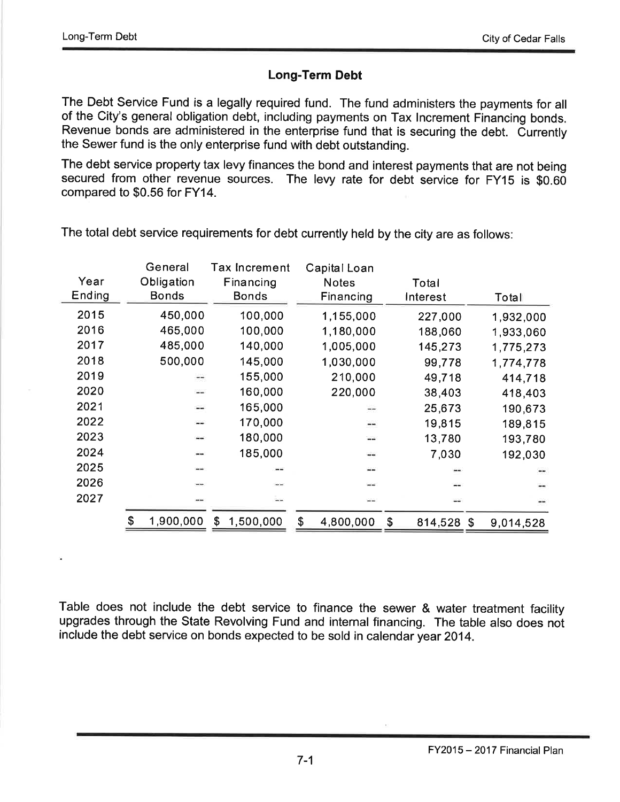## Long-Term Debt

The Debt Service Fund is a legally required fund. The fund administers the payments for all of the City's general obligation debt, including payments on Tax Increment Financing bonds. Revenue bonds are administered in the enterprise fund that is securing the debt. Currently the Sewer fund is the only enterprise fund with debt outstanding.

The debt service property tax levy finances the bond and interest payments that are not being secured from other revenue sources. The levy rate for debt service for FY15 is \$0.60 compared to \$0.56 for FY14.

|        | General      | Tax Increment   | Capital Loan    |                  |           |
|--------|--------------|-----------------|-----------------|------------------|-----------|
| Year   | Obligation   | Financing       | <b>Notes</b>    | Total            |           |
| Ending | <b>Bonds</b> | <b>Bonds</b>    | Financing       | Interest         | Total     |
| 2015   | 450,000      | 100,000         | 1,155,000       | 227,000          | 1,932,000 |
| 2016   | 465,000      | 100,000         | 1,180,000       | 188,060          | 1,933,060 |
| 2017   | 485,000      | 140,000         | 1,005,000       | 145,273          | 1,775,273 |
| 2018   | 500,000      | 145,000         | 1,030,000       | 99,778           | 1,774,778 |
| 2019   | --           | 155,000         | 210,000         | 49,718           | 414,718   |
| 2020   | --           | 160,000         | 220,000         | 38,403           | 418,403   |
| 2021   | --           | 165,000         | --              | 25,673           | 190,673   |
| 2022   |              | 170,000         | --              | 19,815           | 189,815   |
| 2023   | --           | 180,000         | --              | 13,780           | 193,780   |
| 2024   |              | 185,000         | --              | 7,030            | 192,030   |
| 2025   |              |                 | --              |                  |           |
| 2026   |              |                 |                 |                  |           |
| 2027   |              | --              |                 |                  |           |
|        | 1,900,000    | 1,500,000<br>\$ | \$<br>4,800,000 | \$<br>814,528 \$ | 9,014,528 |

The total debt service requirements for debt currently held by the city are as follows:

Table does not include the debt service to finance the sewer & water treatment facility upgrades through the State Revolving Fund and internal financing. The table also does not include the debt service on bonds expected to be sold in calendar year 2014.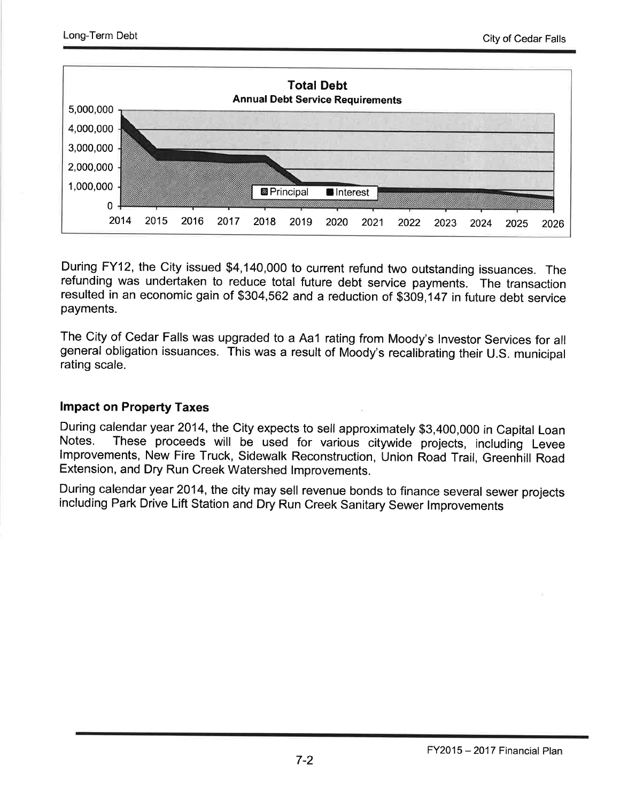

During FY12, the City issued \$4,140,000 to current refund two outstanding issuances. The refunding was undertaken to reduce total future debt service payments. The transaction resulted in an economic gain of \$304,562 and a reduction of \$309,147 in future debt service payments.

The City of Cedar Falls was upgraded to a Aa1 rating from Moody's lnvestor Services for all general obligation issuances. This was a result of Moody's recalibrating their U.S. municipal rating scale.

#### lmpact on Property Taxes

During calendar year 2014, the City expects to sell approximately \$3,400,000 in Capital Loan Notes. These proceeds will be used for various citywide projects, including Levee Improvements, New Fire Truck, Sidewalk Reconstruction, Union Road Trail, Greenhill Road Extension, and Dry Run Creek Watershed lmprovements.

During calendar year 2014, the city may sell revenue bonds to finance several sewer projects including Park Drive Lift Station and Dry Run Creek Sanitary Sewer lmprovements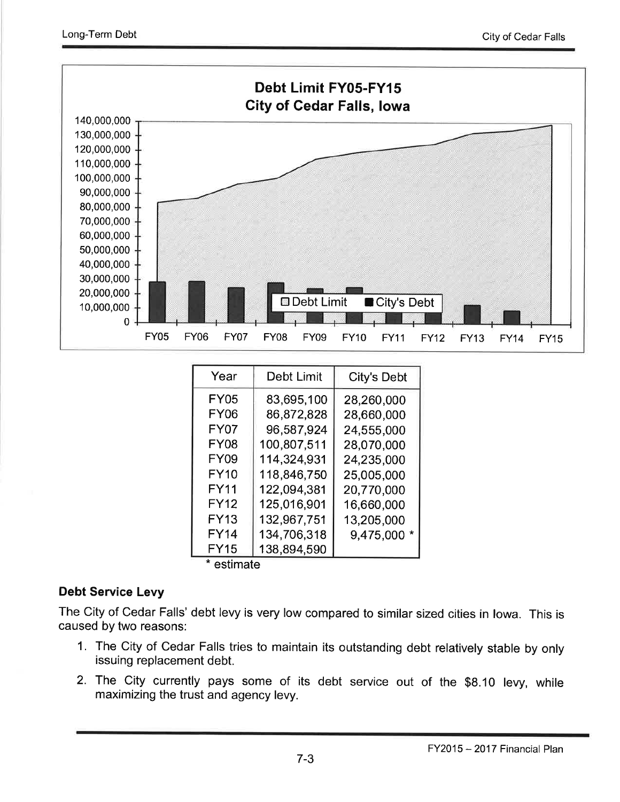

| Year  | Debt Limit  | <b>City's Debt</b> |
|-------|-------------|--------------------|
| FY05  | 83,695,100  | 28,260,000         |
| FY06  | 86,872,828  | 28,660,000         |
| FY07  | 96,587,924  | 24,555,000         |
| FY08  | 100,807,511 | 28,070,000         |
| FY09  | 114,324,931 | 24,235,000         |
| FY10  | 118,846,750 | 25,005,000         |
| FY11  | 122,094,381 | 20,770,000         |
| FY12  | 125,016,901 | 16,660,000         |
| FY13  | 132,967,751 | 13,205,000         |
| FY14  | 134,706,318 | 9,475,000 *        |
| FY15  | 138,894,590 |                    |
| $-11$ |             |                    |

\* estimate

## Debt Service Levy

The City of Cedar Falls' debt levy is very low compared to similar sized cities in lowa. This is caused by two reasons:

- 1. The City of Cedar Falls tries to maintain its outstanding debt relatively stable by only issuing replacement debt.
- 2. The City currently pays some of its debt service out of the \$8.10 levy, while maximizing the trust and agency levy.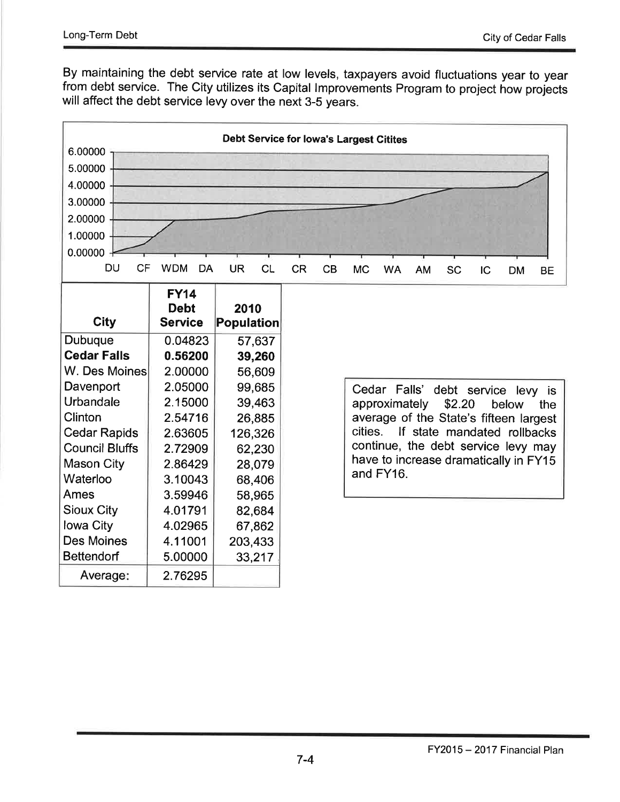By maintaining the debt service rate at low levels, taxpayers avoid fluctuations year to year from debt service. The City utilizes its Capital Improvements Program to project how projects will affect the debt service levy over the next 3-5 years.

| <b>Debt Service for lowa's Largest Citites</b> |                         |                        |               |    |                                      |           |        |           |              |                                        |           |  |  |
|------------------------------------------------|-------------------------|------------------------|---------------|----|--------------------------------------|-----------|--------|-----------|--------------|----------------------------------------|-----------|--|--|
| 6.00000                                        |                         |                        |               |    |                                      |           |        |           |              |                                        |           |  |  |
| 5.00000                                        |                         |                        |               |    |                                      |           |        |           |              |                                        |           |  |  |
| 4.00000                                        |                         |                        |               |    |                                      |           |        |           |              |                                        |           |  |  |
| 3.00000                                        |                         |                        |               |    |                                      |           |        |           |              |                                        |           |  |  |
| 2.00000                                        |                         |                        |               |    |                                      |           |        |           |              |                                        |           |  |  |
| 1.00000                                        |                         |                        |               |    |                                      |           |        |           |              |                                        |           |  |  |
| 0.00000                                        |                         |                        |               |    |                                      |           |        |           |              |                                        |           |  |  |
| <b>DU</b><br><b>CF</b>                         | <b>WDM</b><br><b>DA</b> | <b>UR</b><br><b>CL</b> | <b>CR</b>     | CB | <b>MC</b>                            | <b>WA</b> | AM     | <b>SC</b> | IC           | <b>DM</b>                              | <b>BE</b> |  |  |
|                                                | <b>FY14</b>             |                        |               |    |                                      |           |        |           |              |                                        |           |  |  |
|                                                | <b>Debt</b>             | 2010                   |               |    |                                      |           |        |           |              |                                        |           |  |  |
| <b>City</b>                                    | <b>Service</b>          | Population             |               |    |                                      |           |        |           |              |                                        |           |  |  |
| <b>Dubuque</b>                                 | 0.04823                 | 57,637                 |               |    |                                      |           |        |           |              |                                        |           |  |  |
| <b>Cedar Falls</b>                             | 0.56200                 | 39,260                 |               |    |                                      |           |        |           |              |                                        |           |  |  |
| W. Des Moines                                  | 2.00000                 | 56,609                 |               |    |                                      |           |        |           |              |                                        |           |  |  |
| Davenport                                      | 2.05000                 | 99,685                 |               |    | Cedar Falls'<br>debt service levy is |           |        |           |              |                                        |           |  |  |
| Urbandale                                      | 2.15000                 | 39,463                 | approximately |    |                                      |           | \$2.20 |           | below<br>the |                                        |           |  |  |
| Clinton                                        | 2.54716                 | 26,885                 |               |    |                                      |           |        |           |              | average of the State's fifteen largest |           |  |  |
| <b>Cedar Rapids</b>                            | 2.63605                 | 126,326                |               |    | cities.                              |           |        |           |              | If state mandated rollbacks            |           |  |  |
| <b>Council Bluffs</b>                          | 2.72909                 | 62,230                 |               |    |                                      |           |        |           |              | continue, the debt service levy may    |           |  |  |
| <b>Mason City</b>                              | 2.86429                 | 28,079                 |               |    |                                      | and FY16. |        |           |              | have to increase dramatically in FY15  |           |  |  |
| Waterloo                                       | 3.10043                 | 68,406                 |               |    |                                      |           |        |           |              |                                        |           |  |  |
| Ames                                           | 3.59946                 | 58,965                 |               |    |                                      |           |        |           |              |                                        |           |  |  |
| <b>Sioux City</b>                              | 4.01791                 | 82,684                 |               |    |                                      |           |        |           |              |                                        |           |  |  |
| lowa City                                      | 4.02965                 | 67,862                 |               |    |                                      |           |        |           |              |                                        |           |  |  |
| <b>Des Moines</b>                              | 4.11001                 | 203,433                |               |    |                                      |           |        |           |              |                                        |           |  |  |
| <b>Bettendorf</b>                              | 5.00000                 | 33,217                 |               |    |                                      |           |        |           |              |                                        |           |  |  |
| Average:                                       | 2.76295                 |                        |               |    |                                      |           |        |           |              |                                        |           |  |  |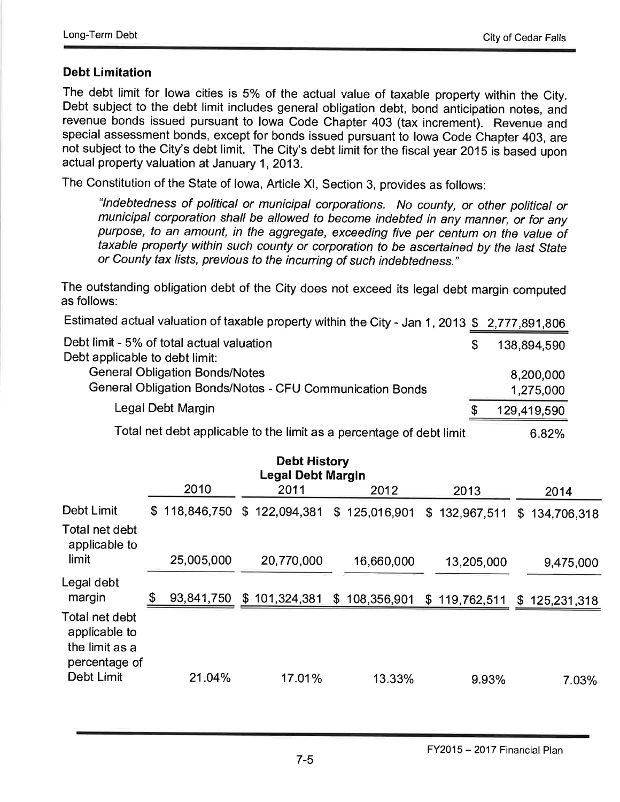## Debt Limitation

The debt limit for lowa cities is 5% of the actual value of taxable property within the City. Debt subject to the debt limit includes general obligation debt, bond anticipation notes, and revenue bonds issued pursuant to lowa Code Chapter 403 (tax increment). Revenue and special assessment bonds, except for bonds issued pursuant to lowa Code Chapter 403, are not subject to the City's debt limit. The City's debt limit for the fiscal year 2015 is based upon actual property valuation at January 1,2013.

The Constitution of the State of lowa, Article Xl, Section 3, provides as follows:

"Indebtedness of political or municipal corporations. No county, or other political or municipal corporation shall be allowed to become indebted in any manner, or for any purpose, to an amount, in the aggregate, exceeding five per centum on the value of taxable property within such county or corporation to be ascertained by the /asf Sfafe or County tax lists, previous to the incurring of such indebtedness."

The outstanding obligation debt of the City does not exceed its legal debt margin computed as follows:

Estimated actual valuation of taxable property within the City - Jan 1, 2013  $$ 2,777,891,806$ 

| Debt limit - 5% of total actual valuation<br>Debt applicable to debt limit:                       | .S | 138,894,590            |
|---------------------------------------------------------------------------------------------------|----|------------------------|
| <b>General Obligation Bonds/Notes</b><br>General Obligation Bonds/Notes - CFU Communication Bonds |    | 8,200,000<br>1,275,000 |
| Legal Debt Margin                                                                                 |    | 129,419,590            |
|                                                                                                   |    |                        |

Total net debt applicable to the limit as a percentage of debt limit  $\qquad \qquad 6.82\%$ 

|                                                                    |                  | <b>Debt History</b><br><b>Legal Debt Margin</b> |               |               |                   |
|--------------------------------------------------------------------|------------------|-------------------------------------------------|---------------|---------------|-------------------|
|                                                                    | 2010             | 2011                                            | 2012          | 2013          | 2014              |
| Debt Limit<br>Total net debt<br>applicable to                      | \$118,846,750    | \$122,094,381                                   | \$125,016,901 | \$132,967,511 | \$<br>134,706,318 |
| limit                                                              | 25,005,000       | 20,770,000                                      | 16,660,000    | 13,205,000    | 9,475,000         |
| Legal debt<br>margin                                               | \$<br>93,841,750 | \$101,324,381                                   | \$108,356,901 | \$119,762,511 | \$125,231,318     |
| Total net debt<br>applicable to<br>the limit as a<br>percentage of |                  |                                                 |               |               |                   |
| Debt Limit                                                         | 21.04%           | 17.01%                                          | 13.33%        | 9.93%         | 7.03%             |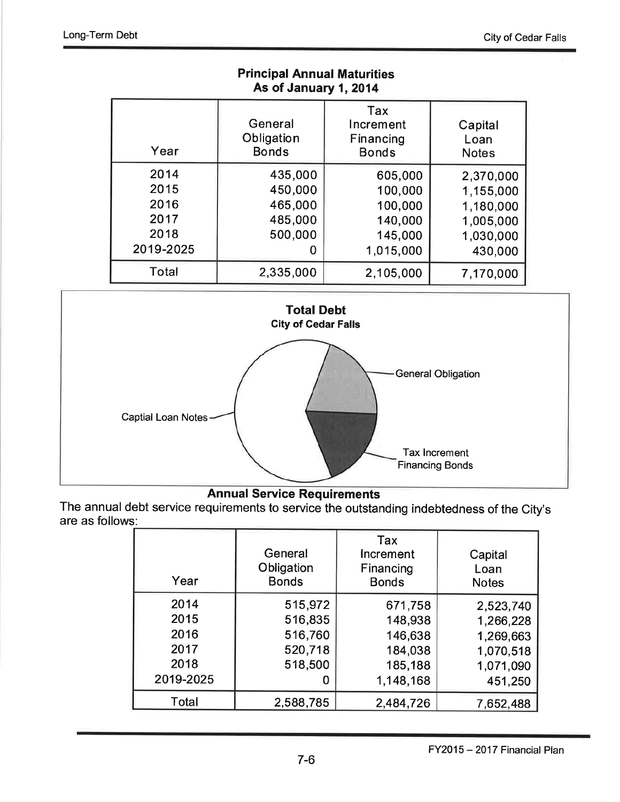| As of January 1, 2014                             |                                                          |                                                                  |                                                                          |  |  |  |  |  |
|---------------------------------------------------|----------------------------------------------------------|------------------------------------------------------------------|--------------------------------------------------------------------------|--|--|--|--|--|
| Year                                              | General<br>Obligation<br><b>Bonds</b>                    | Tax<br>Increment<br>Financing<br><b>Bonds</b>                    | Capital<br>Loan<br><b>Notes</b>                                          |  |  |  |  |  |
| 2014<br>2015<br>2016<br>2017<br>2018<br>2019-2025 | 435,000<br>450,000<br>465,000<br>485,000<br>500,000<br>O | 605,000<br>100,000<br>100,000<br>140,000<br>145,000<br>1,015,000 | 2,370,000<br>1,155,000<br>1,180,000<br>1,005,000<br>1,030,000<br>430,000 |  |  |  |  |  |
| Total                                             | 2,335,000                                                | 2,105,000                                                        | 7,170,000                                                                |  |  |  |  |  |

Principal Annual Maturities



# Annual Service Requirements

The annual debt service requirements to service the outstanding indebtedness of the City's are as follows:

| Year      | General<br>Obligation<br><b>Bonds</b> | Tax<br>Increment<br>Financing<br><b>Bonds</b> | Capital<br>Loan<br><b>Notes</b> |
|-----------|---------------------------------------|-----------------------------------------------|---------------------------------|
| 2014      | 515,972                               | 671,758                                       | 2,523,740                       |
| 2015      | 516,835                               | 148,938                                       | 1,266,228                       |
| 2016      | 516,760                               | 146,638                                       | 1,269,663                       |
| 2017      | 520,718                               | 184,038                                       | 1,070,518                       |
| 2018      | 518,500                               | 185,188                                       | 1,071,090                       |
| 2019-2025 | O                                     | 1,148,168                                     | 451,250                         |
| Total     | 2,588,785                             | 2,484,726                                     | 7,652,488                       |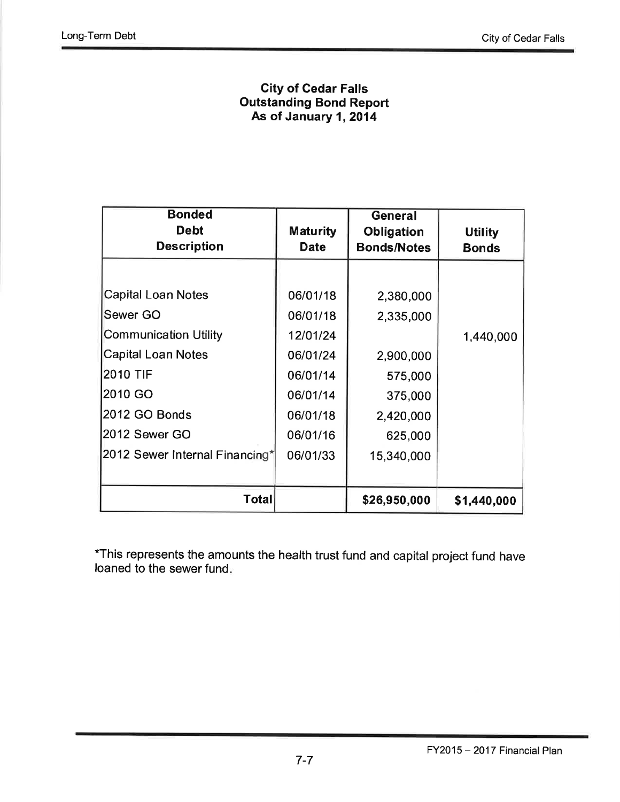### City of Cedar Falls Outstanding Bond Report As of January 1, 2014

| <b>Bonded</b><br><b>Debt</b><br><b>Description</b>                                                                                                                                            | <b>Maturity</b><br><b>Date</b>                                                                           | General<br><b>Obligation</b><br><b>Bonds/Notes</b>                                              | <b>Utility</b><br><b>Bonds</b> |
|-----------------------------------------------------------------------------------------------------------------------------------------------------------------------------------------------|----------------------------------------------------------------------------------------------------------|-------------------------------------------------------------------------------------------------|--------------------------------|
| <b>Capital Loan Notes</b><br>Sewer GO<br><b>Communication Utility</b><br><b>Capital Loan Notes</b><br>2010 TIF<br>2010 GO<br>2012 GO Bonds<br>2012 Sewer GO<br>2012 Sewer Internal Financing* | 06/01/18<br>06/01/18<br>12/01/24<br>06/01/24<br>06/01/14<br>06/01/14<br>06/01/18<br>06/01/16<br>06/01/33 | 2,380,000<br>2,335,000<br>2,900,000<br>575,000<br>375,000<br>2,420,000<br>625,000<br>15,340,000 | 1,440,000                      |
| Total                                                                                                                                                                                         |                                                                                                          | \$26,950,000                                                                                    | \$1,440,000                    |

"This represents the amounts the health trust fund and capital project fund have loaned to the sewer fund.